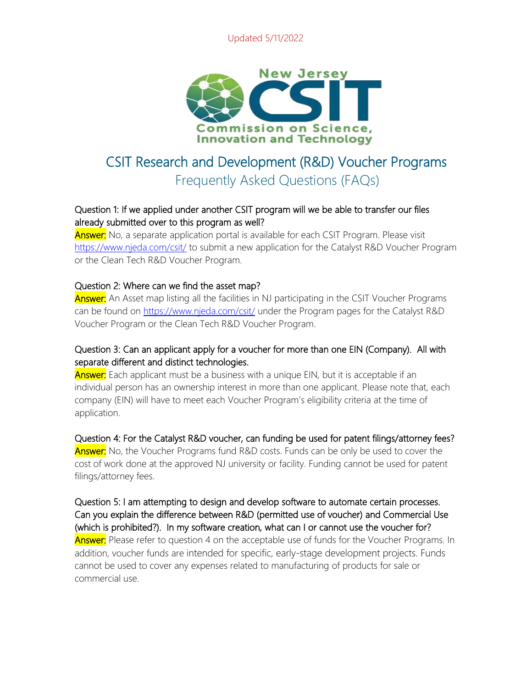## Updated 5/11/2022



# CSIT Research and Development (R&D) Voucher Programs Frequently Asked Questions (FAQs)

# Question 1: If we applied under another CSIT program will we be able to transfer our files already submitted over to this program as well?

**Answer:** No, a separate application portal is available for each CSIT Program. Please visit <https://www.njeda.com/csit/> to submit a new application for the Catalyst R&D Voucher Program or the Clean Tech R&D Voucher Program.

#### Question 2: Where can we find the asset map?

**Answer:** An Asset map listing all the facilities in NJ participating in the CSIT Voucher Programs can be found on<https://www.njeda.com/csit/> under the Program pages for the Catalyst R&D Voucher Program or the Clean Tech R&D Voucher Program.

# Question 3: Can an applicant apply for a voucher for more than one EIN (Company). All with separate different and distinct technologies.

**Answer:** Each applicant must be a business with a unique EIN, but it is acceptable if an individual person has an ownership interest in more than one applicant. Please note that, each company (EIN) will have to meet each Voucher Program's eligibility criteria at the time of application.

## Question 4: For the Catalyst R&D voucher, can funding be used for patent filings/attorney fees?

**Answer:** No, the Voucher Programs fund R&D costs. Funds can be only be used to cover the cost of work done at the approved NJ university or facility. Funding cannot be used for patent filings/attorney fees.

Question 5: I am attempting to design and develop software to automate certain processes. Can you explain the difference between R&D (permitted use of voucher) and Commercial Use (which is prohibited?). In my software creation, what can I or cannot use the voucher for? **Answer:** Please refer to question 4 on the acceptable use of funds for the Voucher Programs. In addition, voucher funds are intended for specific, early-stage development projects. Funds cannot be used to cover any expenses related to manufacturing of products for sale or commercial use.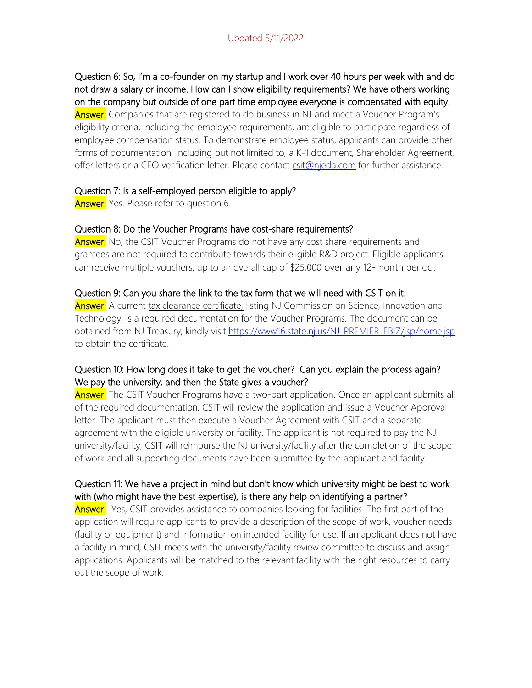# Updated 5/11/2022

Question 6: So, I'm a co-founder on my startup and I work over 40 hours per week with and do not draw a salary or income. How can I show eligibility requirements? We have others working on the company but outside of one part time employee everyone is compensated with equity. **Answer:** Companies that are registered to do business in NJ and meet a Voucher Program's eligibility criteria, including the employee requirements, are eligible to participate regardless of employee compensation status. To demonstrate employee status, applicants can provide other forms of documentation, including but not limited to, a K-1 document, Shareholder Agreement, offer letters or a CEO verification letter. Please contact [csit@njeda.com](mailto:csit@njeda.com) for further assistance.

#### Question 7: Is a self-employed person eligible to apply?

**Answer:** Yes. Please refer to question 6.

#### Question 8: Do the Voucher Programs have cost-share requirements?

**Answer:** No, the CSIT Voucher Programs do not have any cost share requirements and grantees are not required to contribute towards their eligible R&D project. Eligible applicants can receive multiple vouchers, up to an overall cap of \$25,000 over any 12-month period.

#### Question 9: Can you share the link to the tax form that we will need with CSIT on it.

Answer: A current tax clearance certificate, listing NJ Commission on Science, Innovation and Technology, is a required documentation for the Voucher Programs. The document can be obtained from NJ Treasury, kindly visit [https://www16.state.nj.us/NJ\\_PREMIER\\_EBIZ/jsp/home.jsp](https://www16.state.nj.us/NJ_PREMIER_EBIZ/jsp/home.jsp) to obtain the certificate.

## Question 10: How long does it take to get the voucher? Can you explain the process again? We pay the university, and then the State gives a voucher?

**Answer:** The CSIT Voucher Programs have a two-part application. Once an applicant submits all of the required documentation, CSIT will review the application and issue a Voucher Approval letter. The applicant must then execute a Voucher Agreement with CSIT and a separate agreement with the eligible university or facility. The applicant is not required to pay the NJ university/facility; CSIT will reimburse the NJ university/facility after the completion of the scope of work and all supporting documents have been submitted by the applicant and facility.

# Question 11: We have a project in mind but don't know which university might be best to work with (who might have the best expertise), is there any help on identifying a partner?

**Answer:** Yes, CSIT provides assistance to companies looking for facilities. The first part of the application will require applicants to provide a description of the scope of work, voucher needs (facility or equipment) and information on intended facility for use. If an applicant does not have a facility in mind, CSIT meets with the university/facility review committee to discuss and assign applications. Applicants will be matched to the relevant facility with the right resources to carry out the scope of work.